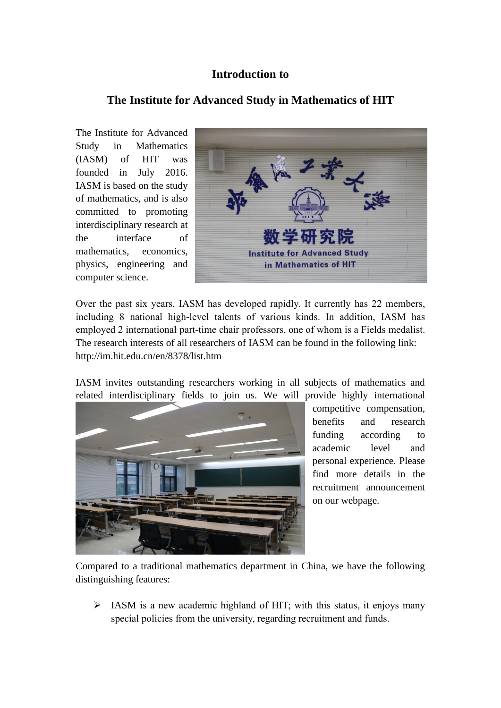## **Introduction to**

## **The Institute for Advanced Study in Mathematics of HIT**

The Institute for Advanced Study in Mathematics (IASM) of HIT was founded in July 2016. IASM is based on the study of mathematics, and is also committed to promoting interdisciplinary research at the interface of mathematics, economics, physics, engineering and computer science.



Over the past six years, IASM has developed rapidly. It currently has 22 members, including 8 national high-level talents of various kinds. In addition, IASM has employed 2 international part-time chair professors, one of whom is a Fields medalist. The research interests of all researchers of IASM can be found in the following link: http://im.hit.edu.cn/en/8378/list.htm

IASM invites outstanding researchers working in all subjects of mathematics and related interdisciplinary fields to join us. We will provide highly international



competitive compensation, benefits and research funding according to academic level and personal experience. Please find more details in the recruitment announcement on our webpage.

Compared to a traditional mathematics department in China, we have the following distinguishing features:

 $\triangleright$  IASM is a new academic highland of HIT; with this status, it enjoys many special policies from the university, regarding recruitment and funds.